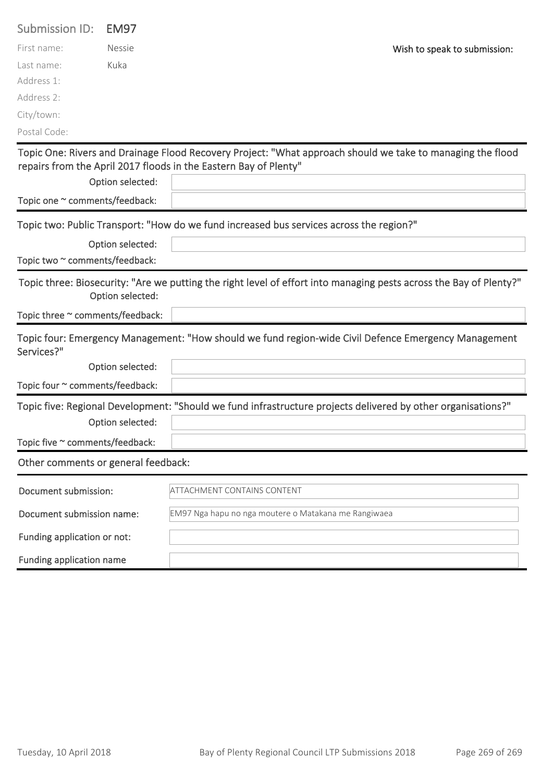| <b>Submission ID:</b>               | <b>EM97</b>      |                                                                                                                                                                                |
|-------------------------------------|------------------|--------------------------------------------------------------------------------------------------------------------------------------------------------------------------------|
| First name:                         | <b>Nessie</b>    | Wish to speak to submission:                                                                                                                                                   |
| Last name:                          | Kuka             |                                                                                                                                                                                |
| Address 1:                          |                  |                                                                                                                                                                                |
| Address 2:                          |                  |                                                                                                                                                                                |
| City/town:                          |                  |                                                                                                                                                                                |
| Postal Code:                        |                  |                                                                                                                                                                                |
|                                     |                  | Topic One: Rivers and Drainage Flood Recovery Project: "What approach should we take to managing the flood<br>repairs from the April 2017 floods in the Eastern Bay of Plenty" |
|                                     | Option selected: |                                                                                                                                                                                |
| Topic one ~ comments/feedback:      |                  |                                                                                                                                                                                |
|                                     |                  | Topic two: Public Transport: "How do we fund increased bus services across the region?"                                                                                        |
|                                     | Option selected: |                                                                                                                                                                                |
| Topic two ~ comments/feedback:      |                  |                                                                                                                                                                                |
|                                     | Option selected: | Topic three: Biosecurity: "Are we putting the right level of effort into managing pests across the Bay of Plenty?"                                                             |
| Topic three ~ comments/feedback:    |                  |                                                                                                                                                                                |
| Services?"                          |                  | Topic four: Emergency Management: "How should we fund region-wide Civil Defence Emergency Management                                                                           |
|                                     | Option selected: |                                                                                                                                                                                |
| Topic four ~ comments/feedback:     |                  |                                                                                                                                                                                |
|                                     |                  | Topic five: Regional Development: "Should we fund infrastructure projects delivered by other organisations?"                                                                   |
|                                     | Option selected: |                                                                                                                                                                                |
| Topic five ~ comments/feedback:     |                  |                                                                                                                                                                                |
| Other comments or general feedback: |                  |                                                                                                                                                                                |
| Document submission:                |                  | <b>ATTACHMENT CONTAINS CONTENT</b>                                                                                                                                             |
| Document submission name:           |                  | EM97 Nga hapu no nga moutere o Matakana me Rangiwaea                                                                                                                           |
| Funding application or not:         |                  |                                                                                                                                                                                |
| Funding application name            |                  |                                                                                                                                                                                |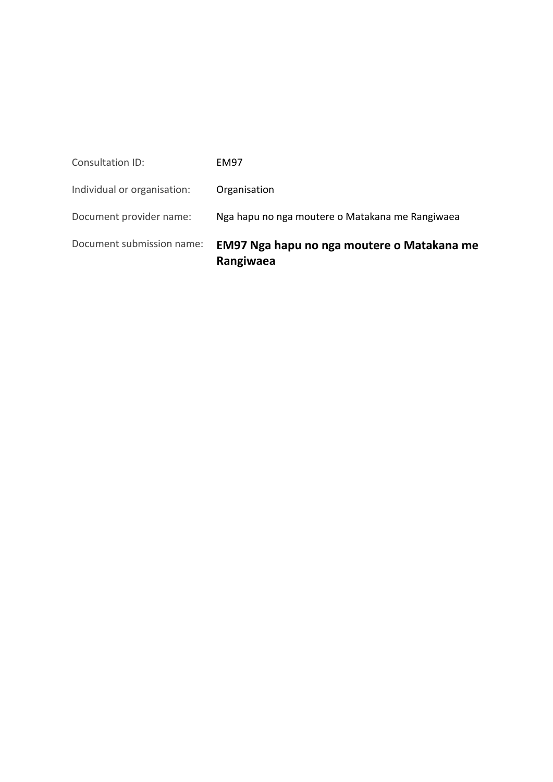| Document submission name:   | EM97 Nga hapu no nga moutere o Matakana me<br>Rangiwaea |
|-----------------------------|---------------------------------------------------------|
| Document provider name:     | Nga hapu no nga moutere o Matakana me Rangiwaea         |
| Individual or organisation: | Organisation                                            |
| Consultation ID:            | <b>EM97</b>                                             |